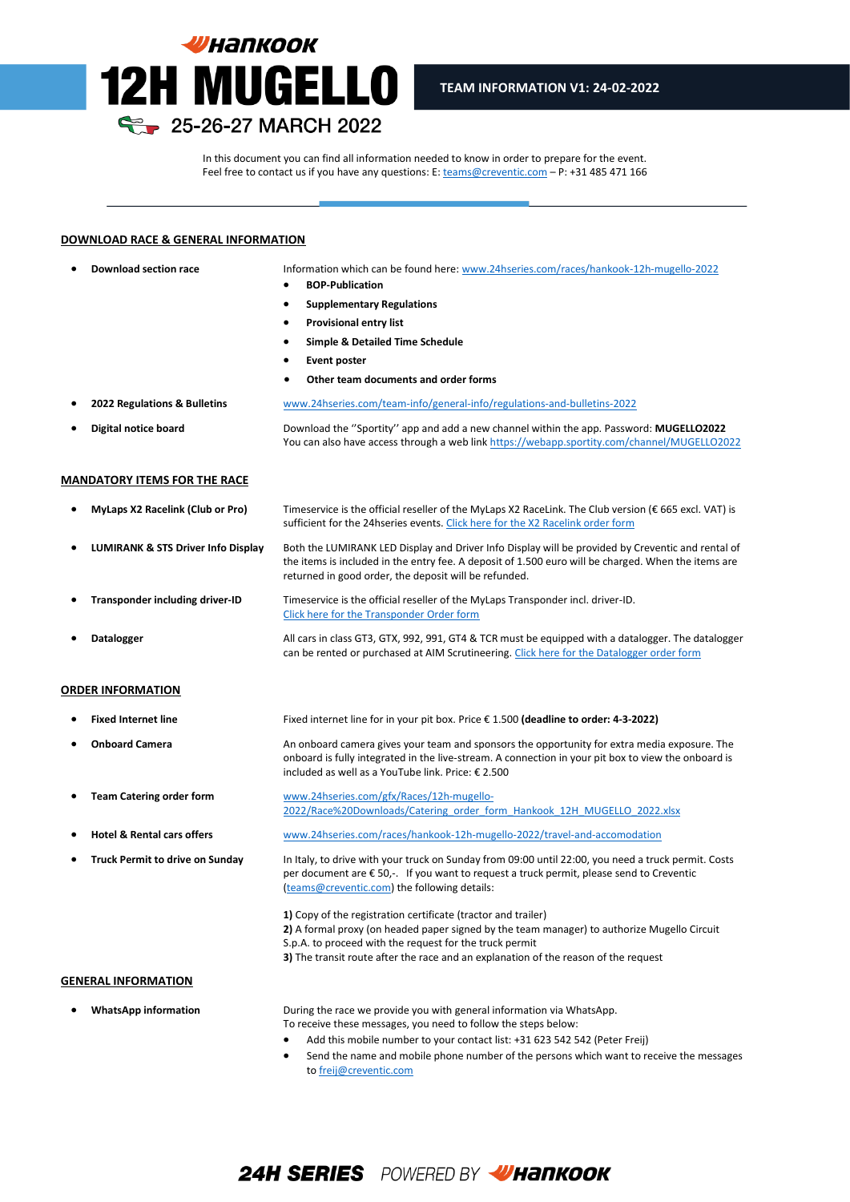

In this document you can find all information needed to know in order to prepare for the event. Feel free to contact us if you have any questions: E[: teams@creventic.com](mailto:teams@creventic.com) – P: +31 485 471 166

l

### **DOWNLOAD RACE & GENERAL INFORMATION**

- 
- **Download section race** Information which can be found here[: www.24hseries.com/races/hankook-12h-mugello-2022](http://www.24hseries.com/races/hankook-12h-mugello-2022)
	- **BOP-Publication**
	- **Supplementary Regulations**
	- **Provisional entry list**
	- **Simple & Detailed Time Schedule**
	- **Event poster**
	- **Other team documents and order forms**
- **2022 Regulations & Bulletins** [www.24hseries.com/team-info/general-info/regulations-and-bulletins-2022](http://www.24hseries.com/team-info/general-info/regulations-and-bulletins-2022)

• **Digital notice board** Download the ''Sportity'' app and add a new channel within the app. Password: **MUGELLO2022** You can also have access through a web lin[k https://webapp.sportity.com/channel/MUGELLO2022](https://webapp.sportity.com/channel/MUGELLO2022)

#### **MANDATORY ITEMS FOR THE RACE**

• **MyLaps X2 Racelink (Club or Pro)** Timeservice is the official reseller of the MyLaps X2 RaceLink. The Club version (€ 665 excl. VAT) is sufficient for the 24hseries events[. Click here for the X2 Racelink order form](https://www.24hseries.com/gfx/General%20Downloads/Budget/X2_Link_Order_Form_24H_series.pdf) • **LUMIRANK & STS Driver Info Display** Both the LUMIRANK LED Display and Driver Info Display will be provided by Creventic and rental of the items is included in the entry fee. A deposit of 1.500 euro will be charged. When the items are

returned in good order, the deposit will be refunded.

- **Transponder including driver-ID** Timeservice is the official reseller of the MyLaps Transponder incl. driver-ID. [Click here for the Transponder Order form](https://www.24hseries.com/gfx/General%20Downloads/Budget/Transponder_Order_Form_24H_series_2022.pdf)
- **Datalogger** All cars in class GT3, GTX, 992, 991, GT4 & TCR must be equipped with a datalogger. The datalogger can be rented or purchased at AIM Scrutineering[. Click here for the Datalogger order form](https://www.24hseries.com/gfx/General%20Downloads/Budget/AIM_Scrutineering_24hseries.pdf)

### **ORDER INFORMATION**

- **Fixed Internet line** Fixed internet line for in your pit box. Price € 1.500 **(deadline to order: 4-3-2022)** • **Onboard Camera** An onboard camera gives your team and sponsors the opportunity for extra media exposure. The onboard is fully integrated in the live-stream. A connection in your pit box to view the onboard is
- included as well as a YouTube link. Price: € 2.500 • **Team Catering order form** [www.24hseries.com/gfx/Races/12h-mugello-](http://www.24hseries.com/gfx/Races/12h-mugello-2022/Race%20Downloads/Catering_order_form_Hankook_12H_MUGELLO_2022.xlsx)
	- [2022/Race%20Downloads/Catering\\_order\\_form\\_Hankook\\_12H\\_MUGELLO\\_2022.xlsx](http://www.24hseries.com/gfx/Races/12h-mugello-2022/Race%20Downloads/Catering_order_form_Hankook_12H_MUGELLO_2022.xlsx)
	- **Hotel & Rental cars offers** [www.24hseries.com/races/hankook-12h-mugello-2022/travel-and-accomodation](http://www.24hseries.com/races/hankook-12h-mugello-2022/travel-and-accomodation)
	- **Truck Permit to drive on Sunday** In Italy, to drive with your truck on Sunday from 09:00 until 22:00, you need a truck permit. Costs per document are € 50,-. If you want to request a truck permit, please send to Creventic [\(teams@creventic.com\)](mailto:teams@creventic.com) the following details:

**1)** Copy of the registration certificate (tractor and trailer) **2)** A formal proxy (on headed paper signed by the team manager) to authorize Mugello Circuit S.p.A. to proceed with the request for the truck permit **3)** The transit route after the race and an explanation of the reason of the request

#### **GENERAL INFORMATION**

• **WhatsApp information** During the race we provide you with general information via WhatsApp. To receive these messages, you need to follow the steps below:

- Add this mobile number to your contact list: +31 623 542 542 (Peter Freij)
- Send the name and mobile phone number of the persons which want to receive the messages t[o freij@creventic.com](mailto:freij@creventic.com)

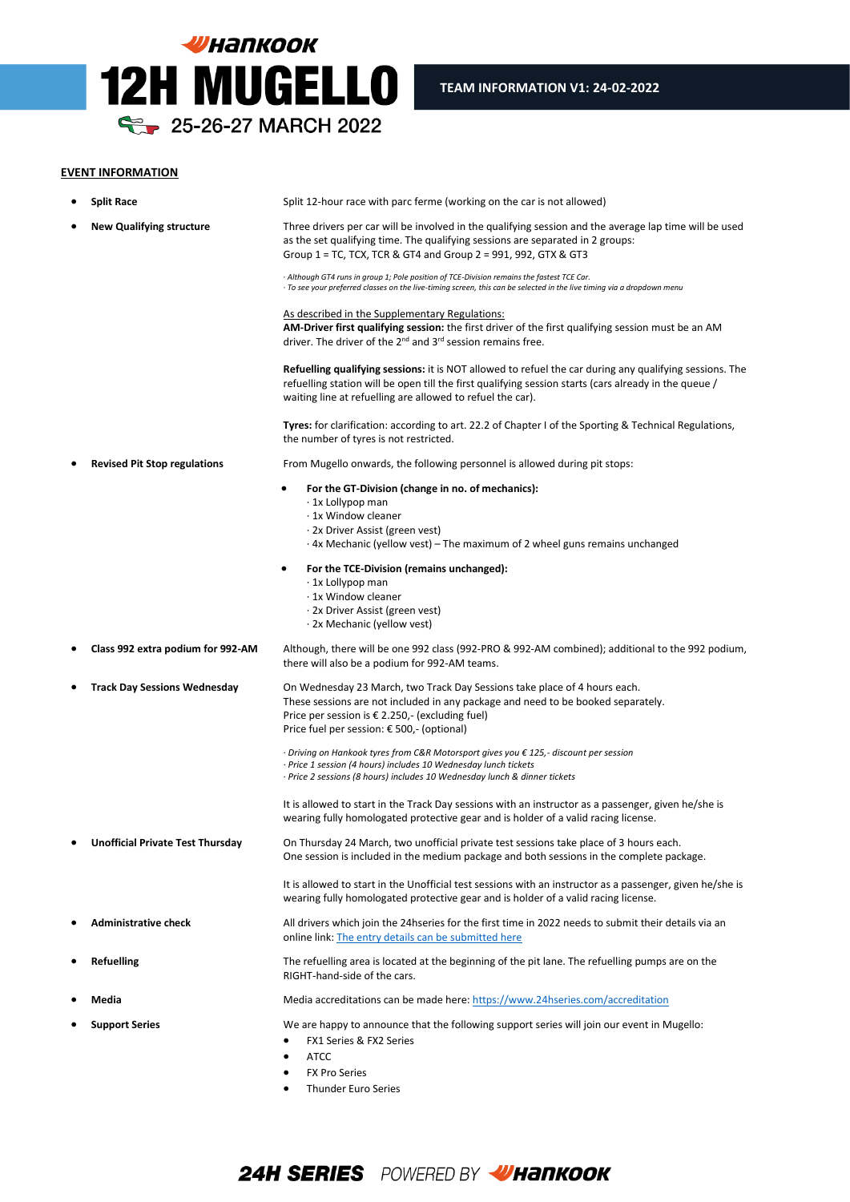

## **EVENT INFORMATION**

|   | <b>Split Race</b>                       | Split 12-hour race with parc ferme (working on the car is not allowed)                                                                                                                                                                                                                |
|---|-----------------------------------------|---------------------------------------------------------------------------------------------------------------------------------------------------------------------------------------------------------------------------------------------------------------------------------------|
|   | <b>New Qualifying structure</b>         | Three drivers per car will be involved in the qualifying session and the average lap time will be used<br>as the set qualifying time. The qualifying sessions are separated in 2 groups:<br>Group 1 = TC, TCX, TCR & GT4 and Group 2 = 991, 992, GTX & GT3                            |
|   |                                         | · Although GT4 runs in group 1; Pole position of TCE-Division remains the fastest TCE Car.<br>· To see your preferred classes on the live-timing screen, this can be selected in the live timing via a dropdown menu                                                                  |
|   |                                         | <u>As described in the Supplementary Regulations:</u><br>AM-Driver first qualifying session: the first driver of the first qualifying session must be an AM<br>driver. The driver of the 2 <sup>nd</sup> and 3 <sup>rd</sup> session remains free.                                    |
|   |                                         | <b>Refuelling qualifying sessions:</b> it is NOT allowed to refuel the car during any qualifying sessions. The<br>refuelling station will be open till the first qualifying session starts (cars already in the queue /<br>waiting line at refuelling are allowed to refuel the car). |
|   |                                         | Tyres: for clarification: according to art. 22.2 of Chapter I of the Sporting & Technical Regulations,<br>the number of tyres is not restricted.                                                                                                                                      |
|   | <b>Revised Pit Stop regulations</b>     | From Mugello onwards, the following personnel is allowed during pit stops:                                                                                                                                                                                                            |
|   |                                         | For the GT-Division (change in no. of mechanics):<br>$\cdot$ 1x Lollypop man<br>· 1x Window cleaner<br>· 2x Driver Assist (green vest)<br>$\cdot$ 4x Mechanic (yellow vest) – The maximum of 2 wheel guns remains unchanged                                                           |
|   |                                         | For the TCE-Division (remains unchanged):<br>٠                                                                                                                                                                                                                                        |
|   |                                         | · 1x Lollypop man                                                                                                                                                                                                                                                                     |
|   |                                         | ⋅ 1x Window cleaner                                                                                                                                                                                                                                                                   |
|   |                                         | · 2x Driver Assist (green vest)<br>· 2x Mechanic (yellow vest)                                                                                                                                                                                                                        |
|   | Class 992 extra podium for 992-AM       | Although, there will be one 992 class (992-PRO & 992-AM combined); additional to the 992 podium,<br>there will also be a podium for 992-AM teams.                                                                                                                                     |
| ٠ | <b>Track Day Sessions Wednesday</b>     | On Wednesday 23 March, two Track Day Sessions take place of 4 hours each.<br>These sessions are not included in any package and need to be booked separately.<br>Price per session is $€$ 2.250,- (excluding fuel)<br>Price fuel per session: € 500,- (optional)                      |
|   |                                         | $\cdot$ Driving on Hankook tyres from C&R Motorsport gives you $\epsilon$ 125,- discount per session<br>· Price 1 session (4 hours) includes 10 Wednesday lunch tickets<br>· Price 2 sessions (8 hours) includes 10 Wednesday lunch & dinner tickets                                  |
|   |                                         | It is allowed to start in the Track Day sessions with an instructor as a passenger, given he/she is<br>wearing fully homologated protective gear and is holder of a valid racing license.                                                                                             |
|   | <b>Unofficial Private Test Thursday</b> | On Thursday 24 March, two unofficial private test sessions take place of 3 hours each.<br>One session is included in the medium package and both sessions in the complete package.                                                                                                    |
|   |                                         | It is allowed to start in the Unofficial test sessions with an instructor as a passenger, given he/she is<br>wearing fully homologated protective gear and is holder of a valid racing license.                                                                                       |
|   | <b>Administrative check</b>             | All drivers which join the 24hseries for the first time in 2022 needs to submit their details via an<br>online link: The entry details can be submitted here                                                                                                                          |
|   | <b>Refuelling</b>                       | The refuelling area is located at the beginning of the pit lane. The refuelling pumps are on the<br>RIGHT-hand-side of the cars.                                                                                                                                                      |
|   | Media                                   | Media accreditations can be made here: https://www.24hseries.com/accreditation                                                                                                                                                                                                        |
|   | <b>Support Series</b>                   | We are happy to announce that the following support series will join our event in Mugello:<br>FX1 Series & FX2 Series<br>٠<br><b>ATCC</b><br>$\bullet$                                                                                                                                |
|   |                                         | <b>FX Pro Series</b><br>$\bullet$                                                                                                                                                                                                                                                     |
|   |                                         | <b>Thunder Euro Series</b><br>٠                                                                                                                                                                                                                                                       |

l

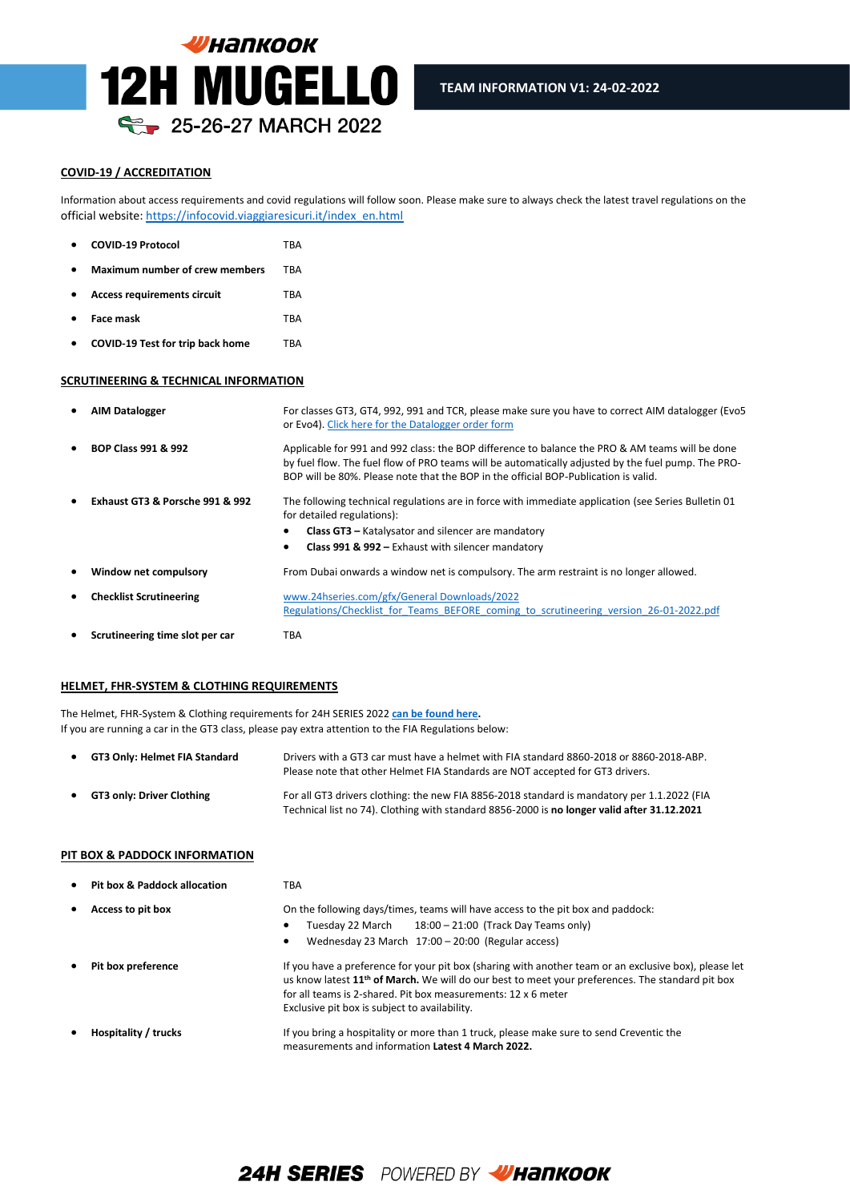

## **COVID-19 / ACCREDITATION**

Information about access requirements and covid regulations will follow soon. Please make sure to always check the latest travel regulations on the official website[: https://infocovid.viaggiaresicuri.it/index\\_en.html](https://infocovid.viaggiaresicuri.it/index_en.html)

l

| <b>COVID-19 Protocol</b>                | TRA        |
|-----------------------------------------|------------|
| <b>Maximum number of crew members</b>   | TRA        |
| <b>Access requirements circuit</b>      | <b>TBA</b> |
| <b>Face mask</b>                        | <b>TBA</b> |
| <b>COVID-19 Test for trip back home</b> | TBA        |

## **SCRUTINEERING & TECHNICAL INFORMATION**

|           | <b>AIM Datalogger</b>           | For classes GT3, GT4, 992, 991 and TCR, please make sure you have to correct AIM datalogger (Evo5<br>or Evo4). Click here for the Datalogger order form                                                                                                                                      |
|-----------|---------------------------------|----------------------------------------------------------------------------------------------------------------------------------------------------------------------------------------------------------------------------------------------------------------------------------------------|
| $\bullet$ | <b>BOP Class 991 &amp; 992</b>  | Applicable for 991 and 992 class: the BOP difference to balance the PRO & AM teams will be done<br>by fuel flow. The fuel flow of PRO teams will be automatically adjusted by the fuel pump. The PRO-<br>BOP will be 80%. Please note that the BOP in the official BOP-Publication is valid. |
|           | Exhaust GT3 & Porsche 991 & 992 | The following technical regulations are in force with immediate application (see Series Bulletin 01<br>for detailed regulations):<br><b>Class GT3</b> - Katalysator and silencer are mandatory<br>Class 991 & 992 - Exhaust with silencer mandatory                                          |
|           | Window net compulsory           | From Dubai onwards a window net is compulsory. The arm restraint is no longer allowed.                                                                                                                                                                                                       |
|           | <b>Checklist Scrutineering</b>  | www.24hseries.com/gfx/General Downloads/2022<br>Regulations/Checklist for Teams BEFORE coming to scrutineering version 26-01-2022.pdf                                                                                                                                                        |
|           | Scrutineering time slot per car | TBA                                                                                                                                                                                                                                                                                          |

## **HELMET, FHR-SYSTEM & CLOTHING REQUIREMENTS**

The Helmet, FHR-System & Clothing requirements for 24H SERIES 2022 **[can be found here.](https://www.24hseries.com/gfx/General%20Downloads/2022%20Regulations/Helmet_and_Hans_AND_Clothing_check_SERIES_2022_version_20-10-2021.pdf)**  If you are running a car in the GT3 class, please pay extra attention to the FIA Regulations below:

| $\bullet$ | GT3 Only: Helmet FIA Standard    | Drivers with a GT3 car must have a helmet with FIA standard 8860-2018 or 8860-2018-ABP.<br>Please note that other Helmet FIA Standards are NOT accepted for GT3 drivers.                   |
|-----------|----------------------------------|--------------------------------------------------------------------------------------------------------------------------------------------------------------------------------------------|
| $\bullet$ | <b>GT3 only: Driver Clothing</b> | For all GT3 drivers clothing: the new FIA 8856-2018 standard is mandatory per 1.1.2022 (FIA<br>Technical list no 74). Clothing with standard 8856-2000 is no longer valid after 31.12.2021 |

### **PIT BOX & PADDOCK INFORMATION**

| <b>Pit box &amp; Paddock allocation</b> | TBA                                                                                                                                                                                                                                                                                                                                     |
|-----------------------------------------|-----------------------------------------------------------------------------------------------------------------------------------------------------------------------------------------------------------------------------------------------------------------------------------------------------------------------------------------|
| Access to pit box                       | On the following days/times, teams will have access to the pit box and paddock:                                                                                                                                                                                                                                                         |
|                                         | $18:00 - 21:00$ (Track Day Teams only)<br>Tuesday 22 March                                                                                                                                                                                                                                                                              |
|                                         | Wednesday 23 March 17:00 - 20:00 (Regular access)<br>٠                                                                                                                                                                                                                                                                                  |
| Pit box preference                      | If you have a preference for your pit box (sharing with another team or an exclusive box), please let<br>us know latest 11 <sup>th</sup> of March. We will do our best to meet your preferences. The standard pit box<br>for all teams is 2-shared. Pit box measurements: 12 x 6 meter<br>Exclusive pit box is subject to availability. |
| Hospitality / trucks                    | If you bring a hospitality or more than 1 truck, please make sure to send Creventic the<br>measurements and information Latest 4 March 2022.                                                                                                                                                                                            |

# **24H SERIES** POWERED BY **VHANKOOK**